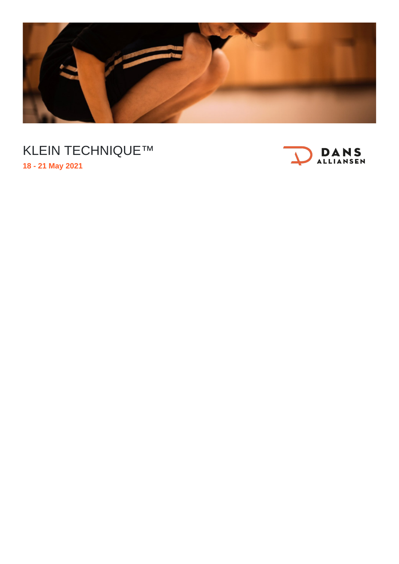

## KLEIN TECHNIQUE™ **18 - 21 May 2021**